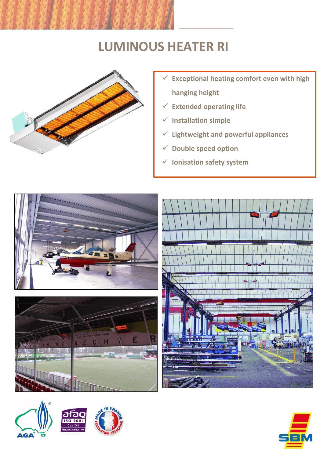## **LUMINOUS HEATER RI**



- **Exceptional heating comfort even with high hanging height**
- **Extended operating life**
- **Installation simple**
- **Lightweight and powerful appliances**
- **Double speed option**
- **Ionisation safety system**